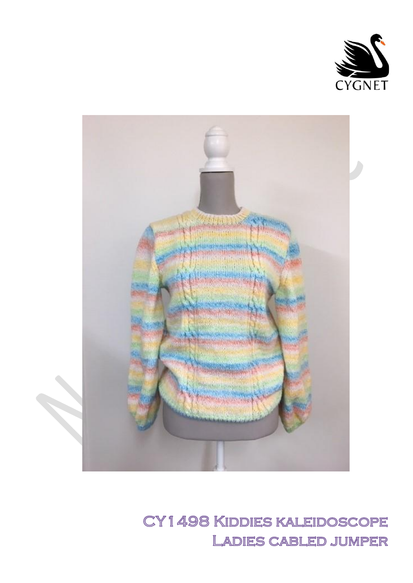



# CY1498 KIDDIES KALEIDOSCOPE **LADIES CABLED JUMPER**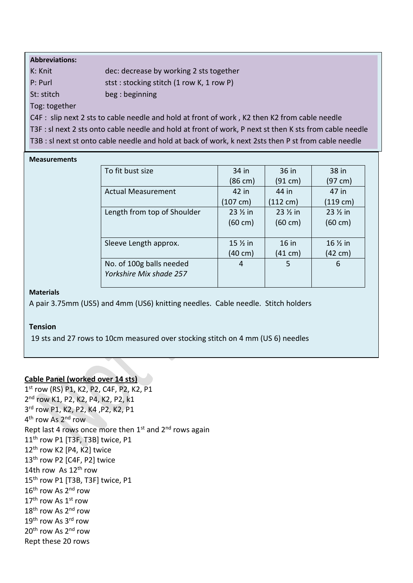| <b>Abbreviations:</b> |                                                                                                      |
|-----------------------|------------------------------------------------------------------------------------------------------|
| K: Knit               | dec: decrease by working 2 sts together                                                              |
| P: Purl               | stst: stocking stitch (1 row K, 1 row P)                                                             |
| St: stitch            | beg: beginning                                                                                       |
| Tog: together         |                                                                                                      |
|                       | $\bigcirc$ are a subsequently results and solution in the subsequently $\bigcirc$ and the $\bigcirc$ |

C4F : slip next 2 sts to cable needle and hold at front of work , K2 then K2 from cable needle T3F : sl next 2 sts onto cable needle and hold at front of work, P next st then K sts from cable needle T3B : sl next st onto cable needle and hold at back of work, k next 2sts then P st from cable needle

#### **Measurements**

| To fit bust size            | 34 in             | 36 in                | 38 in             |
|-----------------------------|-------------------|----------------------|-------------------|
|                             | (86 cm)           | (91 cm)              | (97 cm)           |
| <b>Actual Measurement</b>   | 42 in             | 44 in                | 47 in             |
|                             | (107 cm)          | $(112 \text{ cm})$   | (119 cm)          |
| Length from top of Shoulder | 23 % in           | 23 <sup>1/2</sup> in | 23 % in           |
|                             | $(60 \text{ cm})$ | $(60 \text{ cm})$    | $(60 \text{ cm})$ |
|                             |                   |                      |                   |
| Sleeve Length approx.       | $152$ in          | <b>16 in</b>         | 16 % in           |
|                             | (40 cm)           | (41 cm)              | $(42 \text{ cm})$ |
| No. of 100g balls needed    | 4                 | 5                    | 6                 |
| Yorkshire Mix shade 257     |                   |                      |                   |
|                             |                   |                      |                   |

#### **Materials**

A pair 3.75mm (US5) and 4mm (US6) knitting needles. Cable needle. Stitch holders

#### **Tension**

19 sts and 27 rows to 10cm measured over stocking stitch on 4 mm (US 6) needles

#### **Cable Panel (worked over 14 sts)**

1 st row (RS) P1, K2, P2, C4F, P2, K2, P1 2<sup>nd</sup> row K1, P2, K2, P4, K2, P2, k1 3 rd row P1, K2, P2, K4 ,P2, K2, P1 4<sup>th</sup> row As 2<sup>nd</sup> row Rept last 4 rows once more then  $1^{st}$  and  $2^{nd}$  rows again 11<sup>th</sup> row P1 [T3F, T3B] twice, P1 12<sup>th</sup> row K2 [P4, K2] twice 13<sup>th</sup> row P2 [C4F, P2] twice 14th row As 12<sup>th</sup> row 15<sup>th</sup> row P1 [T3B, T3F] twice, P1 16<sup>th</sup> row As 2<sup>nd</sup> row 17<sup>th</sup> row As 1<sup>st</sup> row 18<sup>th</sup> row As 2<sup>nd</sup> row 19<sup>th</sup> row As 3<sup>rd</sup> row 20<sup>th</sup> row As 2<sup>nd</sup> row Rept these 20 rows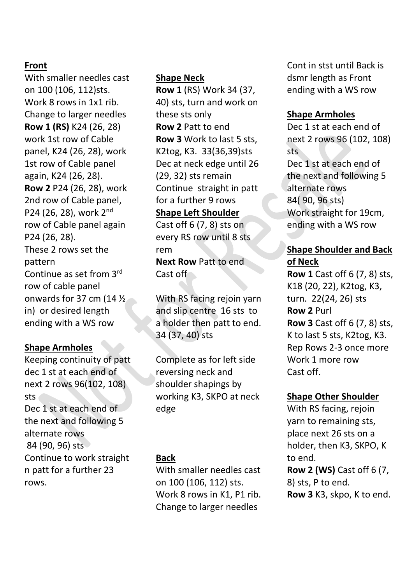## **Front**

With smaller needles cast on 100 (106, 112)sts. Work 8 rows in 1x1 rib. Change to larger needles **Row 1 (RS)** K24 (26, 28) work 1st row of Cable panel, K24 (26, 28), work 1st row of Cable panel again, K24 (26, 28). **Row 2** P24 (26, 28), work 2nd row of Cable panel, P24 (26, 28), work 2nd row of Cable panel again P24 (26, 28). These 2 rows set the pattern Continue as set from 3rd row of cable panel onwards for 37 cm (14 ½ in) or desired length ending with a WS row

# **Shape Armholes**

rows.

Keeping continuity of patt dec 1 st at each end of next 2 rows 96(102, 108) sts Dec 1 st at each end of the next and following 5 alternate rows 84 (90, 96) sts Continue to work straight n patt for a further 23

**Shape Neck**

**Row 1** (RS) Work 34 (37, 40) sts, turn and work on these sts only **Row 2** Patt to end **Row 3** Work to last 5 sts, K2tog, K3. 33(36,39)sts Dec at neck edge until 26 (29, 32) sts remain Continue straight in patt for a further 9 rows

## **Shape Left Shoulder**

Cast off 6 (7, 8) sts on every RS row until 8 sts rem

**Next Row** Patt to end Cast off

With RS facing rejoin yarn and slip centre 16 sts to a holder then patt to end. 34 (37, 40) sts

Complete as for left side reversing neck and shoulder shapings by working K3, SKPO at neck edge

## **Back**

With smaller needles cast on 100 (106, 112) sts. Work 8 rows in K1, P1 rib. Change to larger needles

Cont in stst until Back is dsmr length as Front ending with a WS row

## **Shape Armholes**

Dec 1 st at each end of next 2 rows 96 (102, 108) sts Dec 1 st at each end of the next and following 5 alternate rows 84( 90, 96 sts) Work straight for 19cm, ending with a WS row

# **Shape Shoulder and Back of Neck**

**Row 1** Cast off 6 (7, 8) sts, K18 (20, 22), K2tog, K3, turn. 22(24, 26) sts **Row 2** Purl **Row 3** Cast off 6 (7, 8) sts, K to last 5 sts, K2tog, K3. Rep Rows 2-3 once more Work 1 more row Cast off.

# **Shape Other Shoulder**

With RS facing, rejoin yarn to remaining sts, place next 26 sts on a holder, then K3, SKPO, K to end.

**Row 2 (WS)** Cast off 6 (7, 8) sts, P to end. **Row 3** K3, skpo, K to end.